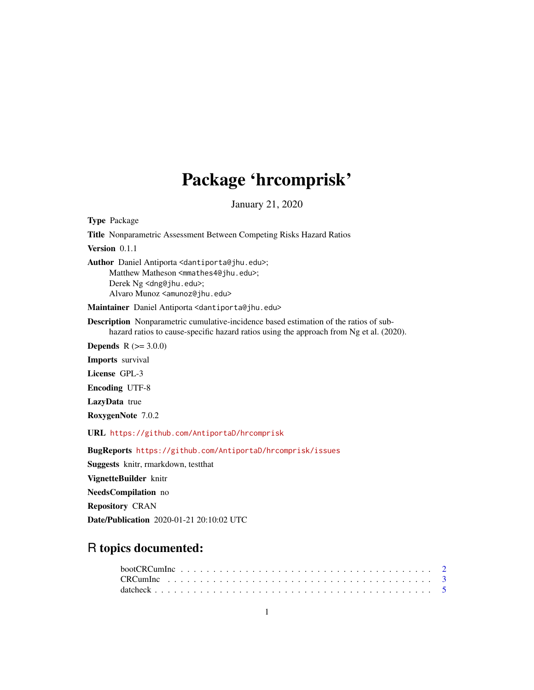# Package 'hrcomprisk'

January 21, 2020

Type Package

Title Nonparametric Assessment Between Competing Risks Hazard Ratios

Version 0.1.1

Author Daniel Antiporta <dantiporta@jhu.edu>; Matthew Matheson <mmathes4@jhu.edu>; Derek Ng <dng@jhu.edu>; Alvaro Munoz <amunoz@jhu.edu>

Maintainer Daniel Antiporta <dantiporta@jhu.edu>

Description Nonparametric cumulative-incidence based estimation of the ratios of subhazard ratios to cause-specific hazard ratios using the approach from Ng et al. (2020).

**Depends**  $R (= 3.0.0)$ 

Imports survival

License GPL-3

Encoding UTF-8

LazyData true

RoxygenNote 7.0.2

URL <https://github.com/AntiportaD/hrcomprisk>

BugReports <https://github.com/AntiportaD/hrcomprisk/issues>

Suggests knitr, rmarkdown, testthat VignetteBuilder knitr NeedsCompilation no

Repository CRAN

Date/Publication 2020-01-21 20:10:02 UTC

# R topics documented: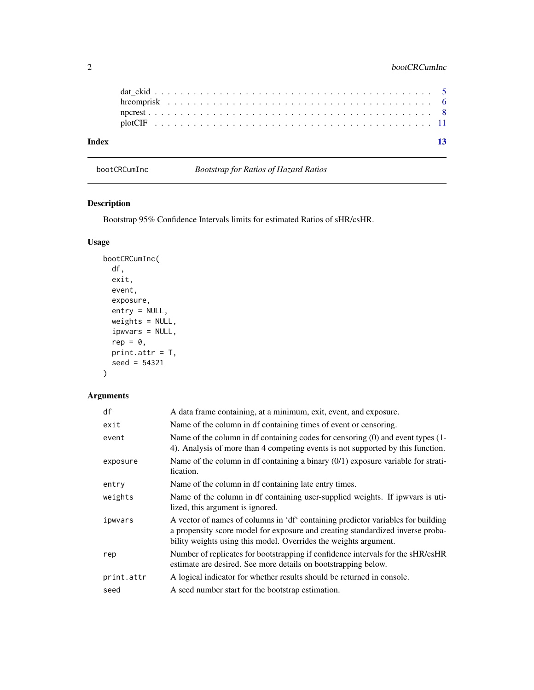| Index |  |  |  |  |  |  |  |  |  |  |  |  |  |  |  |  |  |  |  |  | $\overline{13}$ |
|-------|--|--|--|--|--|--|--|--|--|--|--|--|--|--|--|--|--|--|--|--|-----------------|
|       |  |  |  |  |  |  |  |  |  |  |  |  |  |  |  |  |  |  |  |  |                 |
|       |  |  |  |  |  |  |  |  |  |  |  |  |  |  |  |  |  |  |  |  |                 |
|       |  |  |  |  |  |  |  |  |  |  |  |  |  |  |  |  |  |  |  |  |                 |
|       |  |  |  |  |  |  |  |  |  |  |  |  |  |  |  |  |  |  |  |  |                 |
|       |  |  |  |  |  |  |  |  |  |  |  |  |  |  |  |  |  |  |  |  |                 |

<span id="page-1-1"></span>bootCRCumInc *Bootstrap for Ratios of Hazard Ratios*

# Description

Bootstrap 95% Confidence Intervals limits for estimated Ratios of sHR/csHR.

### Usage

```
bootCRCumInc(
 df,
 exit,
 event,
 exposure,
 entry = NULL,
 weights = NULL,
  ipwvars = NULL,
  rep = 0,print.attr = T,
  seed = 54321
)
```
#### Arguments

| df         | A data frame containing, at a minimum, exit, event, and exposure.                                                                                                                                                                      |
|------------|----------------------------------------------------------------------------------------------------------------------------------------------------------------------------------------------------------------------------------------|
| exit       | Name of the column in df containing times of event or censoring.                                                                                                                                                                       |
| event      | Name of the column in df containing codes for censoring $(0)$ and event types $(1 -$<br>4). Analysis of more than 4 competing events is not supported by this function.                                                                |
| exposure   | Name of the column in df containing a binary $(0/1)$ exposure variable for strati-<br>fication.                                                                                                                                        |
| entry      | Name of the column in df containing late entry times.                                                                                                                                                                                  |
| weights    | Name of the column in df containing user-supplied weights. If ipwvars is uti-<br>lized, this argument is ignored.                                                                                                                      |
| ipwvars    | A vector of names of columns in 'df' containing predictor variables for building<br>a propensity score model for exposure and creating standardized inverse proba-<br>bility weights using this model. Overrides the weights argument. |
| rep        | Number of replicates for bootstrapping if confidence intervals for the sHR/csHR<br>estimate are desired. See more details on bootstrapping below.                                                                                      |
| print.attr | A logical indicator for whether results should be returned in console.                                                                                                                                                                 |
| seed       | A seed number start for the bootstrap estimation.                                                                                                                                                                                      |

<span id="page-1-0"></span>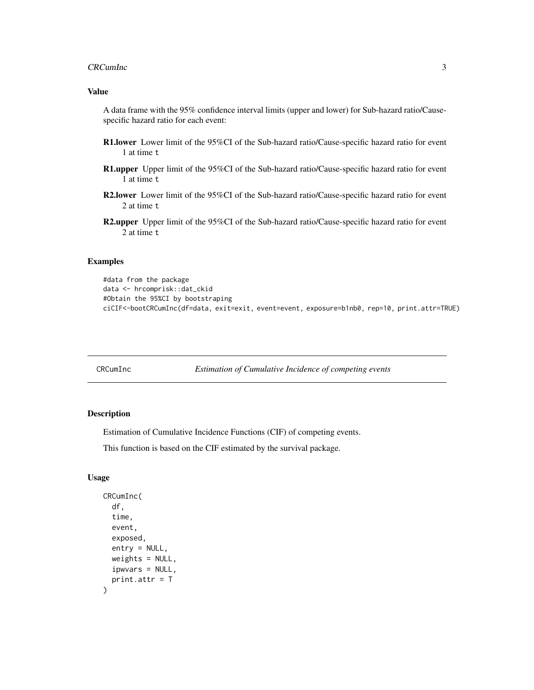#### <span id="page-2-0"></span>CRCumInc 3

#### Value

A data frame with the 95% confidence interval limits (upper and lower) for Sub-hazard ratio/Causespecific hazard ratio for each event:

- R1.lower Lower limit of the 95%CI of the Sub-hazard ratio/Cause-specific hazard ratio for event 1 at time t
- R1.upper Upper limit of the 95%CI of the Sub-hazard ratio/Cause-specific hazard ratio for event 1 at time t
- R2.lower Lower limit of the 95%CI of the Sub-hazard ratio/Cause-specific hazard ratio for event 2 at time t
- R2.upper Upper limit of the 95%CI of the Sub-hazard ratio/Cause-specific hazard ratio for event 2 at time t

#### Examples

```
#data from the package
data <- hrcomprisk::dat_ckid
#Obtain the 95%CI by bootstraping
ciCIF<-bootCRCumInc(df=data, exit=exit, event=event, exposure=b1nb0, rep=10, print.attr=TRUE)
```
<span id="page-2-1"></span>CRCumInc *Estimation of Cumulative Incidence of competing events*

#### Description

Estimation of Cumulative Incidence Functions (CIF) of competing events.

This function is based on the CIF estimated by the survival package.

#### Usage

```
CRCumInc(
  df,
  time,
  event,
  exposed,
  entry = NULL,
 weights = NULL,
  ipwvars = NULL,
  print.attr = T
)
```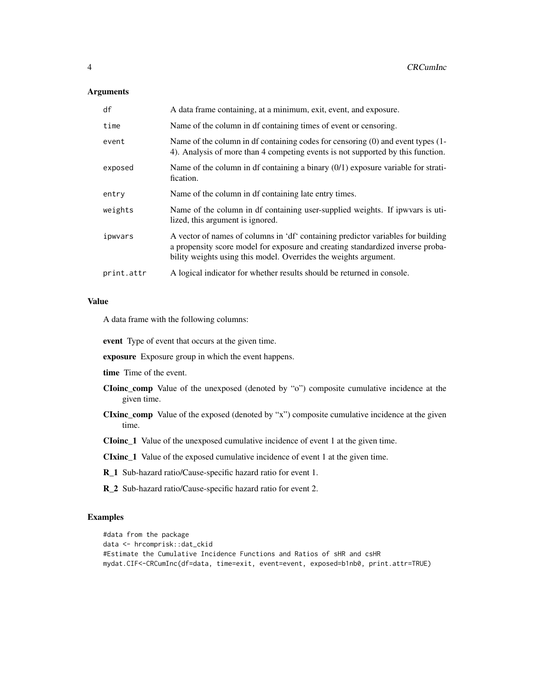#### **Arguments**

| df         | A data frame containing, at a minimum, exit, event, and exposure.                                                                                                                                                                      |
|------------|----------------------------------------------------------------------------------------------------------------------------------------------------------------------------------------------------------------------------------------|
| time       | Name of the column in df containing times of event or censoring.                                                                                                                                                                       |
| event      | Name of the column in df containing codes for censoring $(0)$ and event types $(1 -$<br>4). Analysis of more than 4 competing events is not supported by this function.                                                                |
| exposed    | Name of the column in df containing a binary $(0/1)$ exposure variable for strati-<br>fication.                                                                                                                                        |
| entry      | Name of the column in df containing late entry times.                                                                                                                                                                                  |
| weights    | Name of the column in df containing user-supplied weights. If ipwyars is uti-<br>lized, this argument is ignored.                                                                                                                      |
| ipwvars    | A vector of names of columns in 'df' containing predictor variables for building<br>a propensity score model for exposure and creating standardized inverse proba-<br>bility weights using this model. Overrides the weights argument. |
| print.attr | A logical indicator for whether results should be returned in console.                                                                                                                                                                 |
|            |                                                                                                                                                                                                                                        |

#### Value

A data frame with the following columns:

event Type of event that occurs at the given time.

exposure Exposure group in which the event happens.

time Time of the event.

- CIoinc\_comp Value of the unexposed (denoted by "o") composite cumulative incidence at the given time.
- CIxinc\_comp Value of the exposed (denoted by "x") composite cumulative incidence at the given time.

CIoinc\_1 Value of the unexposed cumulative incidence of event 1 at the given time.

CIxinc\_1 Value of the exposed cumulative incidence of event 1 at the given time.

R\_1 Sub-hazard ratio/Cause-specific hazard ratio for event 1.

R\_2 Sub-hazard ratio/Cause-specific hazard ratio for event 2.

### Examples

```
#data from the package
data <- hrcomprisk::dat_ckid
#Estimate the Cumulative Incidence Functions and Ratios of sHR and csHR
mydat.CIF<-CRCumInc(df=data, time=exit, event=event, exposed=b1nb0, print.attr=TRUE)
```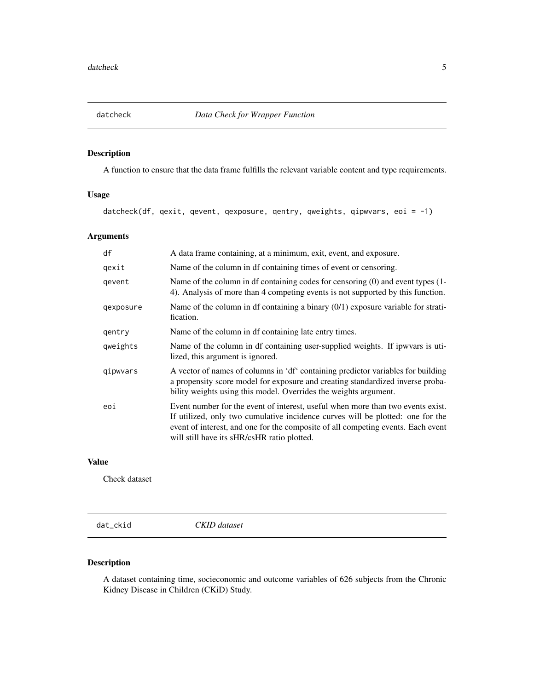<span id="page-4-0"></span>

# Description

A function to ensure that the data frame fulfills the relevant variable content and type requirements.

#### Usage

datcheck(df, qexit, qevent, qexposure, qentry, qweights, qipwvars, eoi = -1)

# Arguments

| df        | A data frame containing, at a minimum, exit, event, and exposure.                                                                                                                                                                                                                                    |
|-----------|------------------------------------------------------------------------------------------------------------------------------------------------------------------------------------------------------------------------------------------------------------------------------------------------------|
| qexit     | Name of the column in df containing times of event or censoring.                                                                                                                                                                                                                                     |
| qevent    | Name of the column in df containing codes for censoring $(0)$ and event types $(1 -$<br>4). Analysis of more than 4 competing events is not supported by this function.                                                                                                                              |
| qexposure | Name of the column in df containing a binary $(0/1)$ exposure variable for strati-<br>fication.                                                                                                                                                                                                      |
| gentry    | Name of the column in df containing late entry times.                                                                                                                                                                                                                                                |
| qweights  | Name of the column in df containing user-supplied weights. If ipwyars is uti-<br>lized, this argument is ignored.                                                                                                                                                                                    |
| qipwyars  | A vector of names of columns in 'df' containing predictor variables for building<br>a propensity score model for exposure and creating standardized inverse proba-<br>bility weights using this model. Overrides the weights argument.                                                               |
| eoi       | Event number for the event of interest, useful when more than two events exist.<br>If utilized, only two cumulative incidence curves will be plotted: one for the<br>event of interest, and one for the composite of all competing events. Each event<br>will still have its sHR/csHR ratio plotted. |

#### Value

Check dataset

dat\_ckid *CKID dataset*

# Description

A dataset containing time, socieconomic and outcome variables of 626 subjects from the Chronic Kidney Disease in Children (CKiD) Study.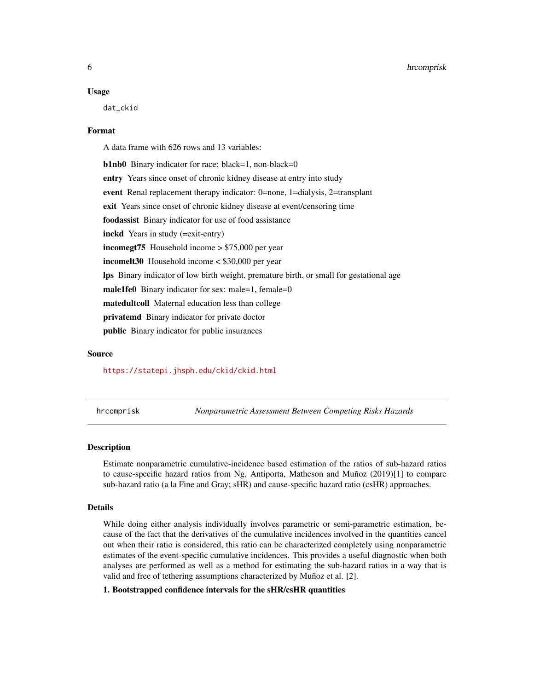#### <span id="page-5-0"></span>Usage

dat\_ckid

#### Format

A data frame with 626 rows and 13 variables:

b1nb0 Binary indicator for race: black=1, non-black=0 entry Years since onset of chronic kidney disease at entry into study event Renal replacement therapy indicator: 0=none, 1=dialysis, 2=transplant exit Years since onset of chronic kidney disease at event/censoring time foodassist Binary indicator for use of food assistance inckd Years in study (=exit-entry) incomegt75 Household income > \$75,000 per year incomelt30 Household income < \$30,000 per year lps Binary indicator of low birth weight, premature birth, or small for gestational age male1fe0 Binary indicator for sex: male=1, female=0 matedultcoll Maternal education less than college privatemd Binary indicator for private doctor public Binary indicator for public insurances

#### Source

#### <https://statepi.jhsph.edu/ckid/ckid.html>

hrcomprisk *Nonparametric Assessment Between Competing Risks Hazards*

#### **Description**

Estimate nonparametric cumulative-incidence based estimation of the ratios of sub-hazard ratios to cause-specific hazard ratios from Ng, Antiporta, Matheson and Muñoz (2019)[1] to compare sub-hazard ratio (a la Fine and Gray; sHR) and cause-specific hazard ratio (csHR) approaches.

#### Details

While doing either analysis individually involves parametric or semi-parametric estimation, because of the fact that the derivatives of the cumulative incidences involved in the quantities cancel out when their ratio is considered, this ratio can be characterized completely using nonparametric estimates of the event-specific cumulative incidences. This provides a useful diagnostic when both analyses are performed as well as a method for estimating the sub-hazard ratios in a way that is valid and free of tethering assumptions characterized by Muñoz et al. [2].

#### 1. Bootstrapped confidence intervals for the sHR/csHR quantities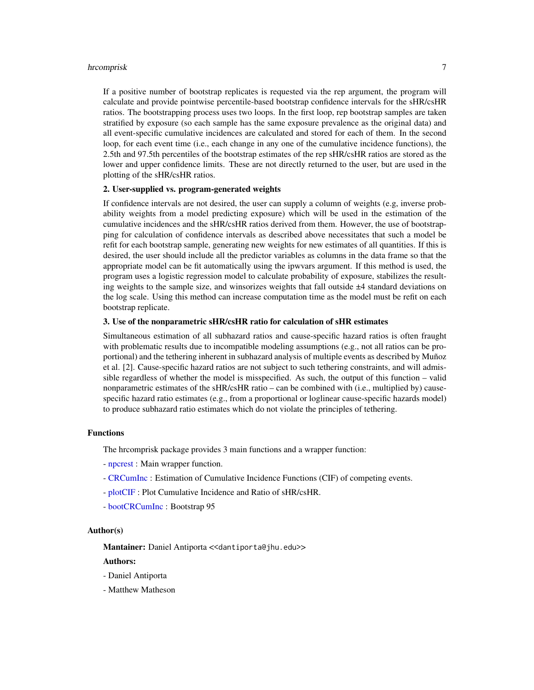#### <span id="page-6-0"></span>hrcomprisk 7

If a positive number of bootstrap replicates is requested via the rep argument, the program will calculate and provide pointwise percentile-based bootstrap confidence intervals for the sHR/csHR ratios. The bootstrapping process uses two loops. In the first loop, rep bootstrap samples are taken stratified by exposure (so each sample has the same exposure prevalence as the original data) and all event-specific cumulative incidences are calculated and stored for each of them. In the second loop, for each event time (i.e., each change in any one of the cumulative incidence functions), the 2.5th and 97.5th percentiles of the bootstrap estimates of the rep sHR/csHR ratios are stored as the lower and upper confidence limits. These are not directly returned to the user, but are used in the plotting of the sHR/csHR ratios.

#### 2. User-supplied vs. program-generated weights

If confidence intervals are not desired, the user can supply a column of weights (e.g, inverse probability weights from a model predicting exposure) which will be used in the estimation of the cumulative incidences and the sHR/csHR ratios derived from them. However, the use of bootstrapping for calculation of confidence intervals as described above necessitates that such a model be refit for each bootstrap sample, generating new weights for new estimates of all quantities. If this is desired, the user should include all the predictor variables as columns in the data frame so that the appropriate model can be fit automatically using the ipwvars argument. If this method is used, the program uses a logistic regression model to calculate probability of exposure, stabilizes the resulting weights to the sample size, and winsorizes weights that fall outside ±4 standard deviations on the log scale. Using this method can increase computation time as the model must be refit on each bootstrap replicate.

#### 3. Use of the nonparametric sHR/csHR ratio for calculation of sHR estimates

Simultaneous estimation of all subhazard ratios and cause-specific hazard ratios is often fraught with problematic results due to incompatible modeling assumptions (e.g., not all ratios can be proportional) and the tethering inherent in subhazard analysis of multiple events as described by Muñoz et al. [2]. Cause-specific hazard ratios are not subject to such tethering constraints, and will admissible regardless of whether the model is misspecified. As such, the output of this function – valid nonparametric estimates of the sHR/csHR ratio – can be combined with (i.e., multiplied by) causespecific hazard ratio estimates (e.g., from a proportional or loglinear cause-specific hazards model) to produce subhazard ratio estimates which do not violate the principles of tethering.

#### Functions

The hrcomprisk package provides 3 main functions and a wrapper function:

- [npcrest](#page-7-1) : Main wrapper function.
- [CRCumInc](#page-2-1) : Estimation of Cumulative Incidence Functions (CIF) of competing events.
- [plotCIF](#page-10-1) : Plot Cumulative Incidence and Ratio of sHR/csHR.
- [bootCRCumInc](#page-1-1) : Bootstrap 95

#### Author(s)

Mantainer: Daniel Antiporta <<dantiporta@jhu.edu>>

#### Authors:

- Daniel Antiporta
- Matthew Matheson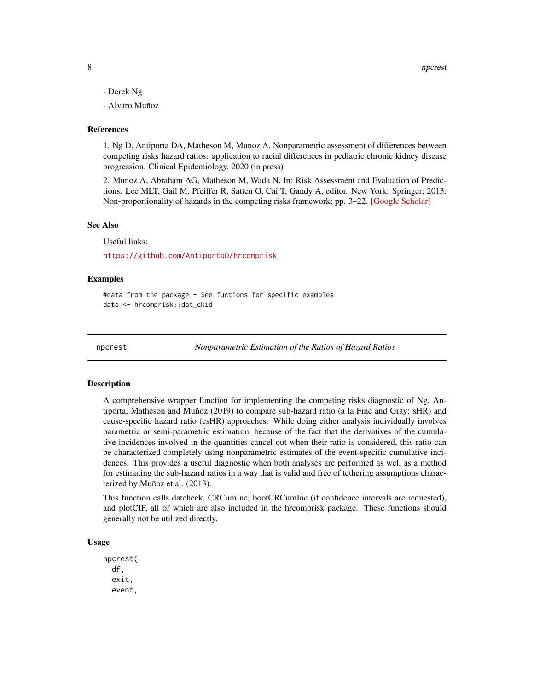- <span id="page-7-0"></span>- Derek Ng
- Alvaro Muñoz

#### References

1. Ng D, Antiporta DA, Matheson M, Munoz A. Nonparametric assessment of differences between competing risks hazard ratios: application to racial differences in pediatric chronic kidney disease progression. Clinical Epidemiology, 2020 (in press)

2. Muñoz A, Abraham AG, Matheson M, Wada N. In: Risk Assessment and Evaluation of Predictions. Lee MLT, Gail M, Pfeiffer R, Satten G, Cai T, Gandy A, editor. New York: Springer; 2013. Non-proportionality of hazards in the competing risks framework; pp. 3–22. [\[Google Scholar\]](https://link.springer.com/chapter/10.1007/978-1-4614-8981-8_1)

#### See Also

Useful links:

<https://github.com/AntiportaD/hrcomprisk>

#### Examples

#data from the package - See fuctions for specific examples data <- hrcomprisk::dat\_ckid

<span id="page-7-1"></span>

npcrest *Nonparametric Estimation of the Ratios of Hazard Ratios*

#### **Description**

A comprehensive wrapper function for implementing the competing risks diagnostic of Ng, Antiporta, Matheson and Muñoz (2019) to compare sub-hazard ratio (a la Fine and Gray; sHR) and cause-specific hazard ratio (csHR) approaches. While doing either analysis individually involves parametric or semi-parametric estimation, because of the fact that the derivatives of the cumulative incidences involved in the quantities cancel out when their ratio is considered, this ratio can be characterized completely using nonparametric estimates of the event-specific cumulative incidences. This provides a useful diagnostic when both analyses are performed as well as a method for estimating the sub-hazard ratios in a way that is valid and free of tethering assumptions characterized by Muñoz et al. (2013).

This function calls datcheck, CRCumInc, bootCRCumInc (if confidence intervals are requested), and plotCIF, all of which are also included in the hrcomprisk package. These functions should generally not be utilized directly.

#### Usage

npcrest( df, exit, event,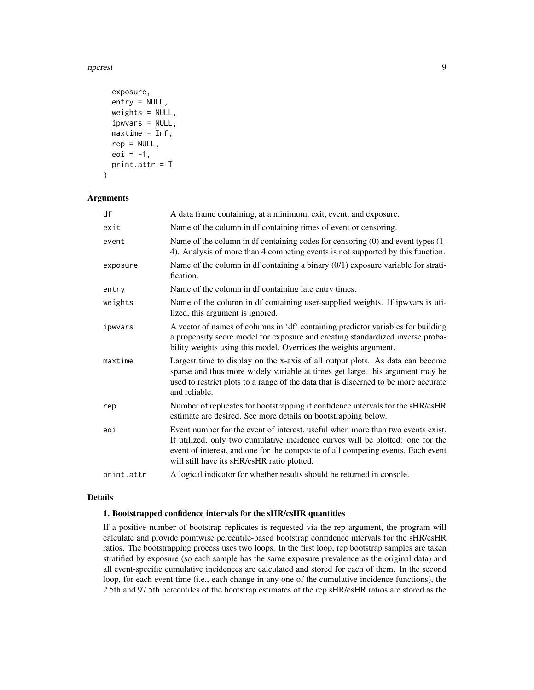npcrest 99

```
exposure,
  entry = NULL,
 weights = NULL,ipwvars = NULL,
 maxtime = Inf,rep = NULL,
  eoi = -1,
 print.attr = T
)
```
# Arguments

| df         | A data frame containing, at a minimum, exit, event, and exposure.                                                                                                                                                                                                                                    |
|------------|------------------------------------------------------------------------------------------------------------------------------------------------------------------------------------------------------------------------------------------------------------------------------------------------------|
| exit       | Name of the column in df containing times of event or censoring.                                                                                                                                                                                                                                     |
| event      | Name of the column in df containing codes for censoring $(0)$ and event types $(1 -$<br>4). Analysis of more than 4 competing events is not supported by this function.                                                                                                                              |
| exposure   | Name of the column in df containing a binary $(0/1)$ exposure variable for strati-<br>fication.                                                                                                                                                                                                      |
| entry      | Name of the column in df containing late entry times.                                                                                                                                                                                                                                                |
| weights    | Name of the column in df containing user-supplied weights. If ipwvars is uti-<br>lized, this argument is ignored.                                                                                                                                                                                    |
| ipwvars    | A vector of names of columns in 'df' containing predictor variables for building<br>a propensity score model for exposure and creating standardized inverse proba-<br>bility weights using this model. Overrides the weights argument.                                                               |
| maxtime    | Largest time to display on the x-axis of all output plots. As data can become<br>sparse and thus more widely variable at times get large, this argument may be<br>used to restrict plots to a range of the data that is discerned to be more accurate<br>and reliable.                               |
| rep        | Number of replicates for bootstrapping if confidence intervals for the sHR/csHR<br>estimate are desired. See more details on bootstrapping below.                                                                                                                                                    |
| eoi        | Event number for the event of interest, useful when more than two events exist.<br>If utilized, only two cumulative incidence curves will be plotted: one for the<br>event of interest, and one for the composite of all competing events. Each event<br>will still have its sHR/csHR ratio plotted. |
| print.attr | A logical indicator for whether results should be returned in console.                                                                                                                                                                                                                               |

#### Details

#### 1. Bootstrapped confidence intervals for the sHR/csHR quantities

If a positive number of bootstrap replicates is requested via the rep argument, the program will calculate and provide pointwise percentile-based bootstrap confidence intervals for the sHR/csHR ratios. The bootstrapping process uses two loops. In the first loop, rep bootstrap samples are taken stratified by exposure (so each sample has the same exposure prevalence as the original data) and all event-specific cumulative incidences are calculated and stored for each of them. In the second loop, for each event time (i.e., each change in any one of the cumulative incidence functions), the 2.5th and 97.5th percentiles of the bootstrap estimates of the rep sHR/csHR ratios are stored as the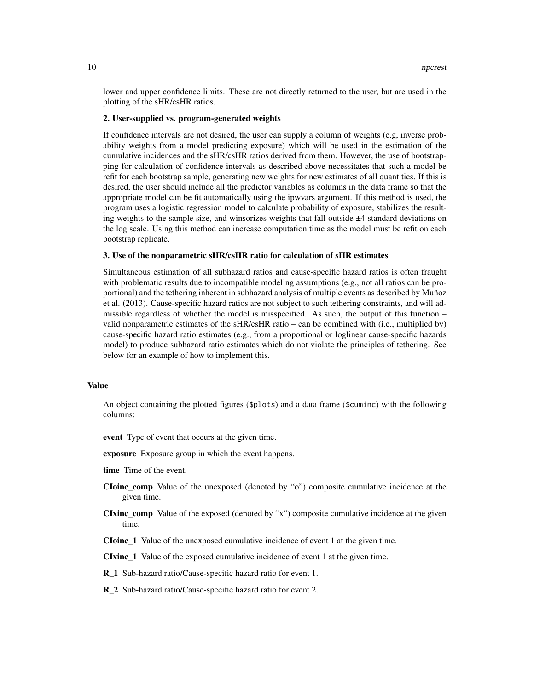lower and upper confidence limits. These are not directly returned to the user, but are used in the plotting of the sHR/csHR ratios.

#### 2. User-supplied vs. program-generated weights

If confidence intervals are not desired, the user can supply a column of weights (e.g, inverse probability weights from a model predicting exposure) which will be used in the estimation of the cumulative incidences and the sHR/csHR ratios derived from them. However, the use of bootstrapping for calculation of confidence intervals as described above necessitates that such a model be refit for each bootstrap sample, generating new weights for new estimates of all quantities. If this is desired, the user should include all the predictor variables as columns in the data frame so that the appropriate model can be fit automatically using the ipwvars argument. If this method is used, the program uses a logistic regression model to calculate probability of exposure, stabilizes the resulting weights to the sample size, and winsorizes weights that fall outside ±4 standard deviations on the log scale. Using this method can increase computation time as the model must be refit on each bootstrap replicate.

#### 3. Use of the nonparametric sHR/csHR ratio for calculation of sHR estimates

Simultaneous estimation of all subhazard ratios and cause-specific hazard ratios is often fraught with problematic results due to incompatible modeling assumptions (e.g., not all ratios can be proportional) and the tethering inherent in subhazard analysis of multiple events as described by Muñoz et al. (2013). Cause-specific hazard ratios are not subject to such tethering constraints, and will admissible regardless of whether the model is misspecified. As such, the output of this function – valid nonparametric estimates of the sHR/csHR ratio – can be combined with (i.e., multiplied by) cause-specific hazard ratio estimates (e.g., from a proportional or loglinear cause-specific hazards model) to produce subhazard ratio estimates which do not violate the principles of tethering. See below for an example of how to implement this.

#### Value

An object containing the plotted figures (\$plots) and a data frame (\$cuminc) with the following columns:

event Type of event that occurs at the given time.

exposure Exposure group in which the event happens.

time Time of the event.

- CIoinc\_comp Value of the unexposed (denoted by "o") composite cumulative incidence at the given time.
- CIxinc\_comp Value of the exposed (denoted by "x") composite cumulative incidence at the given time.

CIoinc\_1 Value of the unexposed cumulative incidence of event 1 at the given time.

CIxinc\_1 Value of the exposed cumulative incidence of event 1 at the given time.

R\_1 Sub-hazard ratio/Cause-specific hazard ratio for event 1.

R\_2 Sub-hazard ratio/Cause-specific hazard ratio for event 2.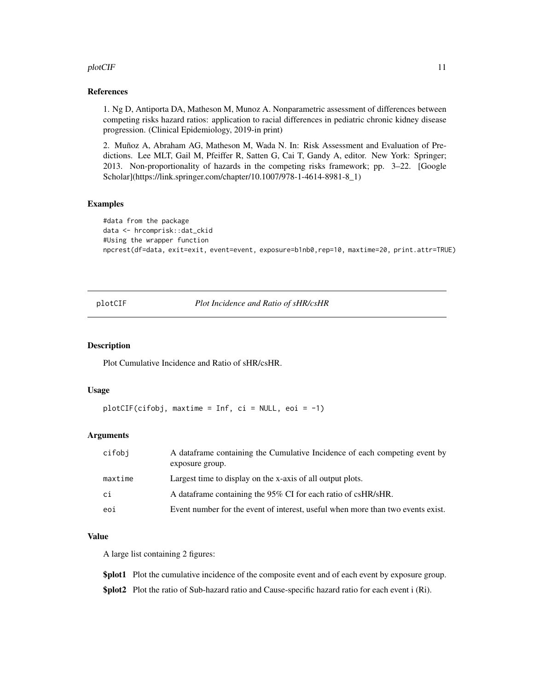#### <span id="page-10-0"></span>plotCIF and the state of the state of the state of the state of the state of the state of the state of the state of the state of the state of the state of the state of the state of the state of the state of the state of th

#### References

1. Ng D, Antiporta DA, Matheson M, Munoz A. Nonparametric assessment of differences between competing risks hazard ratios: application to racial differences in pediatric chronic kidney disease progression. (Clinical Epidemiology, 2019-in print)

2. Muñoz A, Abraham AG, Matheson M, Wada N. In: Risk Assessment and Evaluation of Predictions. Lee MLT, Gail M, Pfeiffer R, Satten G, Cai T, Gandy A, editor. New York: Springer; 2013. Non-proportionality of hazards in the competing risks framework; pp. 3–22. [Google Scholar](https://link.springer.com/chapter/10.1007/978-1-4614-8981-8\_1)

#### Examples

```
#data from the package
data <- hrcomprisk::dat_ckid
#Using the wrapper function
npcrest(df=data, exit=exit, event=event, exposure=b1nb0,rep=10, maxtime=20, print.attr=TRUE)
```
<span id="page-10-1"></span>plotCIF *Plot Incidence and Ratio of sHR/csHR*

#### Description

Plot Cumulative Incidence and Ratio of sHR/csHR.

#### Usage

 $plotCIF(cifobj, maxtime = Inf, ci = NULL, eoi = -1)$ 

#### Arguments

| cifobi  | A data frame containing the Cumulative Incidence of each competing event by<br>exposure group. |
|---------|------------------------------------------------------------------------------------------------|
| maxtime | Largest time to display on the x-axis of all output plots.                                     |
| ci      | A data frame containing the 95% CI for each ratio of csHR/sHR.                                 |
| eoi     | Event number for the event of interest, useful when more than two events exist.                |

#### Value

A large list containing 2 figures:

\$plot1 Plot the cumulative incidence of the composite event and of each event by exposure group.

\$plot2 Plot the ratio of Sub-hazard ratio and Cause-specific hazard ratio for each event i (Ri).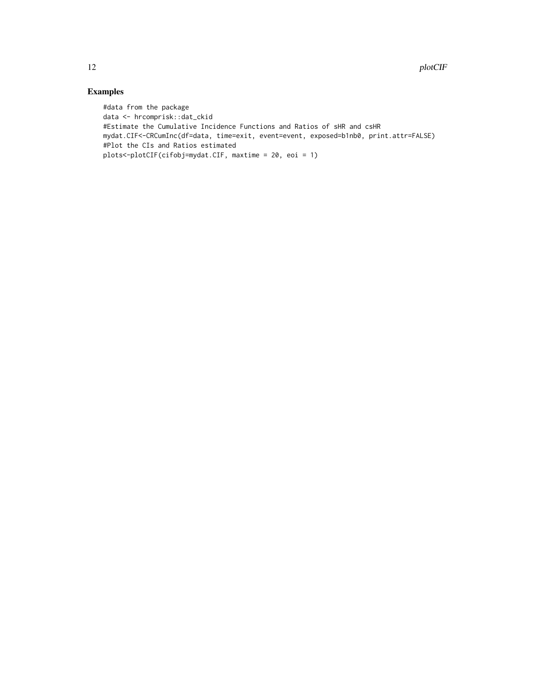# Examples

#data from the package data <- hrcomprisk::dat\_ckid #Estimate the Cumulative Incidence Functions and Ratios of sHR and csHR mydat.CIF<-CRCumInc(df=data, time=exit, event=event, exposed=b1nb0, print.attr=FALSE) #Plot the CIs and Ratios estimated plots<-plotCIF(cifobj=mydat.CIF, maxtime = 20, eoi = 1)